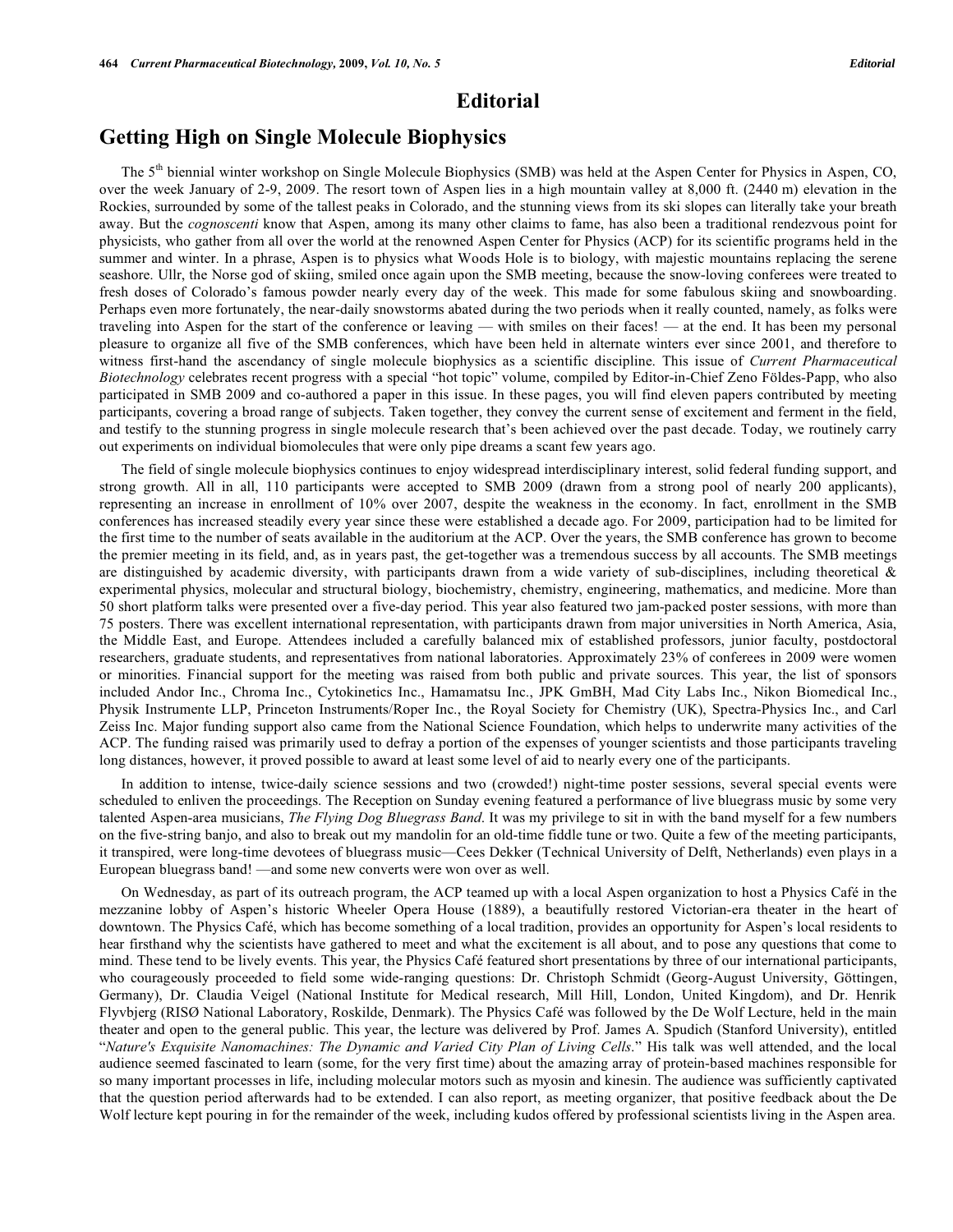## **Editorial**

## **Getting High on Single Molecule Biophysics**

 The 5th biennial winter workshop on Single Molecule Biophysics (SMB) was held at the Aspen Center for Physics in Aspen, CO, over the week January of 2-9, 2009. The resort town of Aspen lies in a high mountain valley at 8,000 ft. (2440 m) elevation in the Rockies, surrounded by some of the tallest peaks in Colorado, and the stunning views from its ski slopes can literally take your breath away. But the *cognoscenti* know that Aspen, among its many other claims to fame, has also been a traditional rendezvous point for physicists, who gather from all over the world at the renowned Aspen Center for Physics (ACP) for its scientific programs held in the summer and winter. In a phrase, Aspen is to physics what Woods Hole is to biology, with majestic mountains replacing the serene seashore. Ullr, the Norse god of skiing, smiled once again upon the SMB meeting, because the snow-loving conferees were treated to fresh doses of Colorado's famous powder nearly every day of the week. This made for some fabulous skiing and snowboarding. Perhaps even more fortunately, the near-daily snowstorms abated during the two periods when it really counted, namely, as folks were traveling into Aspen for the start of the conference or leaving — with smiles on their faces! — at the end. It has been my personal pleasure to organize all five of the SMB conferences, which have been held in alternate winters ever since 2001, and therefore to witness first-hand the ascendancy of single molecule biophysics as a scientific discipline. This issue of *Current Pharmaceutical Biotechnology* celebrates recent progress with a special "hot topic" volume, compiled by Editor-in-Chief Zeno Földes-Papp, who also participated in SMB 2009 and co-authored a paper in this issue. In these pages, you will find eleven papers contributed by meeting participants, covering a broad range of subjects. Taken together, they convey the current sense of excitement and ferment in the field, and testify to the stunning progress in single molecule research that's been achieved over the past decade. Today, we routinely carry out experiments on individual biomolecules that were only pipe dreams a scant few years ago.

 The field of single molecule biophysics continues to enjoy widespread interdisciplinary interest, solid federal funding support, and strong growth. All in all, 110 participants were accepted to SMB 2009 (drawn from a strong pool of nearly 200 applicants), representing an increase in enrollment of 10% over 2007, despite the weakness in the economy. In fact, enrollment in the SMB conferences has increased steadily every year since these were established a decade ago. For 2009, participation had to be limited for the first time to the number of seats available in the auditorium at the ACP. Over the years, the SMB conference has grown to become the premier meeting in its field, and, as in years past, the get-together was a tremendous success by all accounts. The SMB meetings are distinguished by academic diversity, with participants drawn from a wide variety of sub-disciplines, including theoretical  $\&$ experimental physics, molecular and structural biology, biochemistry, chemistry, engineering, mathematics, and medicine. More than 50 short platform talks were presented over a five-day period. This year also featured two jam-packed poster sessions, with more than 75 posters. There was excellent international representation, with participants drawn from major universities in North America, Asia, the Middle East, and Europe. Attendees included a carefully balanced mix of established professors, junior faculty, postdoctoral researchers, graduate students, and representatives from national laboratories. Approximately 23% of conferees in 2009 were women or minorities. Financial support for the meeting was raised from both public and private sources. This year, the list of sponsors included Andor Inc., Chroma Inc., Cytokinetics Inc., Hamamatsu Inc., JPK GmBH, Mad City Labs Inc., Nikon Biomedical Inc., Physik Instrumente LLP, Princeton Instruments/Roper Inc., the Royal Society for Chemistry (UK), Spectra-Physics Inc., and Carl Zeiss Inc. Major funding support also came from the National Science Foundation, which helps to underwrite many activities of the ACP. The funding raised was primarily used to defray a portion of the expenses of younger scientists and those participants traveling long distances, however, it proved possible to award at least some level of aid to nearly every one of the participants.

 In addition to intense, twice-daily science sessions and two (crowded!) night-time poster sessions, several special events were scheduled to enliven the proceedings. The Reception on Sunday evening featured a performance of live bluegrass music by some very talented Aspen-area musicians, *The Flying Dog Bluegrass Band*. It was my privilege to sit in with the band myself for a few numbers on the five-string banjo, and also to break out my mandolin for an old-time fiddle tune or two. Quite a few of the meeting participants, it transpired, were long-time devotees of bluegrass music—Cees Dekker (Technical University of Delft, Netherlands) even plays in a European bluegrass band! —and some new converts were won over as well.

 On Wednesday, as part of its outreach program, the ACP teamed up with a local Aspen organization to host a Physics Café in the mezzanine lobby of Aspen's historic Wheeler Opera House (1889), a beautifully restored Victorian-era theater in the heart of downtown. The Physics Café, which has become something of a local tradition, provides an opportunity for Aspen's local residents to hear firsthand why the scientists have gathered to meet and what the excitement is all about, and to pose any questions that come to mind. These tend to be lively events. This year, the Physics Café featured short presentations by three of our international participants, who courageously proceeded to field some wide-ranging questions: Dr. Christoph Schmidt (Georg-August University, Göttingen, Germany), Dr. Claudia Veigel (National Institute for Medical research, Mill Hill, London, United Kingdom), and Dr. Henrik Flyvbjerg (RISØ National Laboratory, Roskilde, Denmark). The Physics Café was followed by the De Wolf Lecture, held in the main theater and open to the general public. This year, the lecture was delivered by Prof. James A. Spudich (Stanford University), entitled "*Nature's Exquisite Nanomachines: The Dynamic and Varied City Plan of Living Cells*." His talk was well attended, and the local audience seemed fascinated to learn (some, for the very first time) about the amazing array of protein-based machines responsible for so many important processes in life, including molecular motors such as myosin and kinesin. The audience was sufficiently captivated that the question period afterwards had to be extended. I can also report, as meeting organizer, that positive feedback about the De Wolf lecture kept pouring in for the remainder of the week, including kudos offered by professional scientists living in the Aspen area.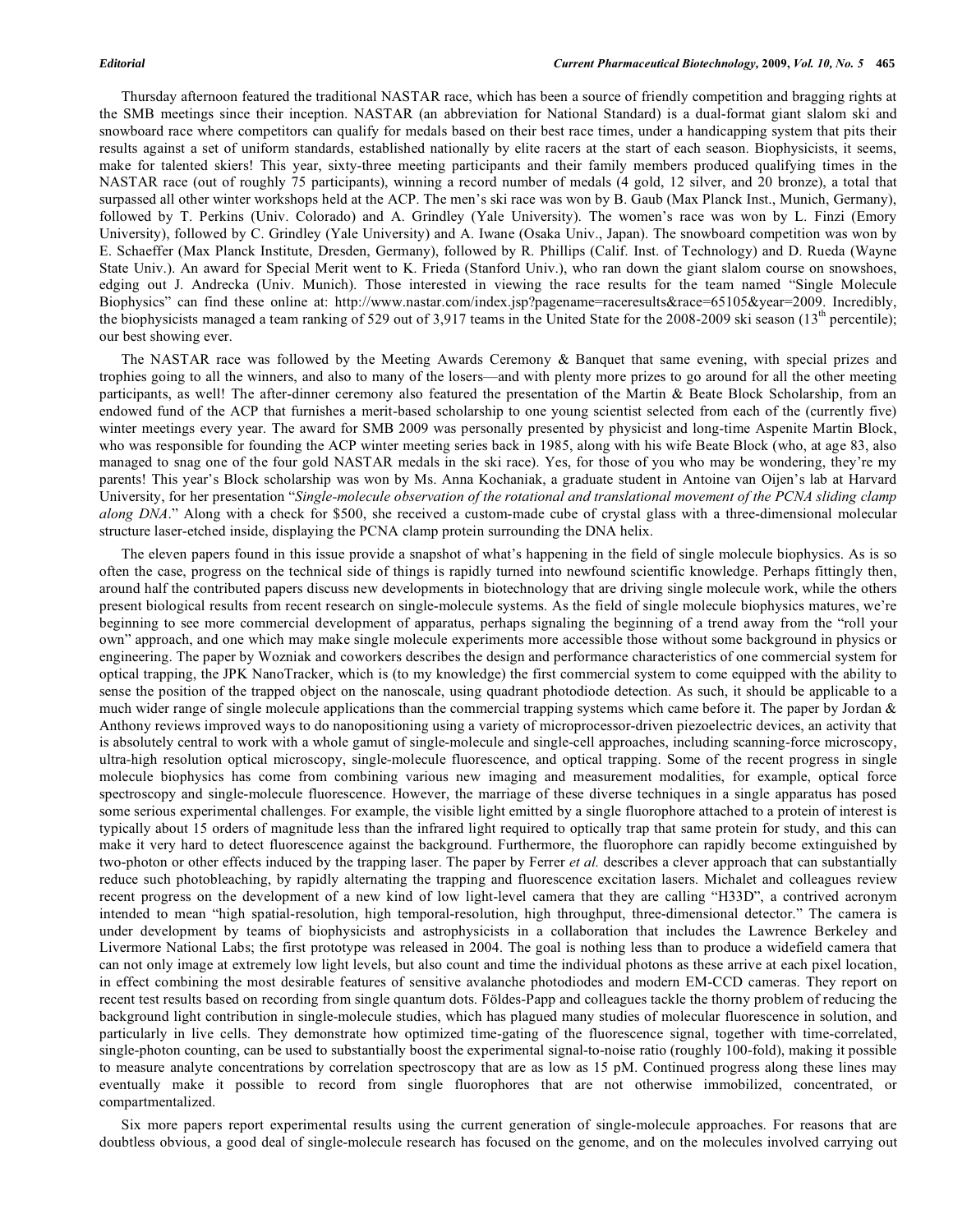Thursday afternoon featured the traditional NASTAR race, which has been a source of friendly competition and bragging rights at the SMB meetings since their inception. NASTAR (an abbreviation for National Standard) is a dual-format giant slalom ski and snowboard race where competitors can qualify for medals based on their best race times, under a handicapping system that pits their results against a set of uniform standards, established nationally by elite racers at the start of each season. Biophysicists, it seems, make for talented skiers! This year, sixty-three meeting participants and their family members produced qualifying times in the NASTAR race (out of roughly 75 participants), winning a record number of medals (4 gold, 12 silver, and 20 bronze), a total that surpassed all other winter workshops held at the ACP. The men's ski race was won by B. Gaub (Max Planck Inst., Munich, Germany), followed by T. Perkins (Univ. Colorado) and A. Grindley (Yale University). The women's race was won by L. Finzi (Emory University), followed by C. Grindley (Yale University) and A. Iwane (Osaka Univ., Japan). The snowboard competition was won by E. Schaeffer (Max Planck Institute, Dresden, Germany), followed by R. Phillips (Calif. Inst. of Technology) and D. Rueda (Wayne State Univ.). An award for Special Merit went to K. Frieda (Stanford Univ.), who ran down the giant slalom course on snowshoes, edging out J. Andrecka (Univ. Munich). Those interested in viewing the race results for the team named "Single Molecule Biophysics" can find these online at: http://www.nastar.com/index.jsp?pagename=raceresults&race=65105&year=2009. Incredibly, the biophysicists managed a team ranking of 529 out of 3,917 teams in the United State for the 2008-2009 ski season ( $13<sup>th</sup>$  percentile); our best showing ever.

 The NASTAR race was followed by the Meeting Awards Ceremony & Banquet that same evening, with special prizes and trophies going to all the winners, and also to many of the losers—and with plenty more prizes to go around for all the other meeting participants, as well! The after-dinner ceremony also featured the presentation of the Martin & Beate Block Scholarship, from an endowed fund of the ACP that furnishes a merit-based scholarship to one young scientist selected from each of the (currently five) winter meetings every year. The award for SMB 2009 was personally presented by physicist and long-time Aspenite Martin Block, who was responsible for founding the ACP winter meeting series back in 1985, along with his wife Beate Block (who, at age 83, also managed to snag one of the four gold NASTAR medals in the ski race). Yes, for those of you who may be wondering, they're my parents! This year's Block scholarship was won by Ms. Anna Kochaniak, a graduate student in Antoine van Oijen's lab at Harvard University, for her presentation "*Single-molecule observation of the rotational and translational movement of the PCNA sliding clamp along DNA*." Along with a check for \$500, she received a custom-made cube of crystal glass with a three-dimensional molecular structure laser-etched inside, displaying the PCNA clamp protein surrounding the DNA helix.

 The eleven papers found in this issue provide a snapshot of what's happening in the field of single molecule biophysics. As is so often the case, progress on the technical side of things is rapidly turned into newfound scientific knowledge. Perhaps fittingly then, around half the contributed papers discuss new developments in biotechnology that are driving single molecule work, while the others present biological results from recent research on single-molecule systems. As the field of single molecule biophysics matures, we're beginning to see more commercial development of apparatus, perhaps signaling the beginning of a trend away from the "roll your own" approach, and one which may make single molecule experiments more accessible those without some background in physics or engineering. The paper by Wozniak and coworkers describes the design and performance characteristics of one commercial system for optical trapping, the JPK NanoTracker, which is (to my knowledge) the first commercial system to come equipped with the ability to sense the position of the trapped object on the nanoscale, using quadrant photodiode detection. As such, it should be applicable to a much wider range of single molecule applications than the commercial trapping systems which came before it. The paper by Jordan & Anthony reviews improved ways to do nanopositioning using a variety of microprocessor-driven piezoelectric devices, an activity that is absolutely central to work with a whole gamut of single-molecule and single-cell approaches, including scanning-force microscopy, ultra-high resolution optical microscopy, single-molecule fluorescence, and optical trapping. Some of the recent progress in single molecule biophysics has come from combining various new imaging and measurement modalities, for example, optical force spectroscopy and single-molecule fluorescence. However, the marriage of these diverse techniques in a single apparatus has posed some serious experimental challenges. For example, the visible light emitted by a single fluorophore attached to a protein of interest is typically about 15 orders of magnitude less than the infrared light required to optically trap that same protein for study, and this can make it very hard to detect fluorescence against the background. Furthermore, the fluorophore can rapidly become extinguished by two-photon or other effects induced by the trapping laser. The paper by Ferrer *et al.* describes a clever approach that can substantially reduce such photobleaching, by rapidly alternating the trapping and fluorescence excitation lasers. Michalet and colleagues review recent progress on the development of a new kind of low light-level camera that they are calling "H33D", a contrived acronym intended to mean "high spatial-resolution, high temporal-resolution, high throughput, three-dimensional detector." The camera is under development by teams of biophysicists and astrophysicists in a collaboration that includes the Lawrence Berkeley and Livermore National Labs; the first prototype was released in 2004. The goal is nothing less than to produce a widefield camera that can not only image at extremely low light levels, but also count and time the individual photons as these arrive at each pixel location, in effect combining the most desirable features of sensitive avalanche photodiodes and modern EM-CCD cameras. They report on recent test results based on recording from single quantum dots. Földes-Papp and colleagues tackle the thorny problem of reducing the background light contribution in single-molecule studies, which has plagued many studies of molecular fluorescence in solution, and particularly in live cells. They demonstrate how optimized time-gating of the fluorescence signal, together with time-correlated, single-photon counting, can be used to substantially boost the experimental signal-to-noise ratio (roughly 100-fold), making it possible to measure analyte concentrations by correlation spectroscopy that are as low as 15 pM. Continued progress along these lines may eventually make it possible to record from single fluorophores that are not otherwise immobilized, concentrated, or compartmentalized.

 Six more papers report experimental results using the current generation of single-molecule approaches. For reasons that are doubtless obvious, a good deal of single-molecule research has focused on the genome, and on the molecules involved carrying out